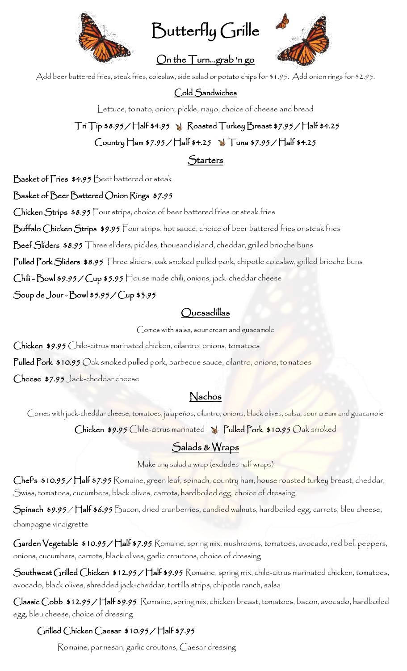

Butterfly Grille

On the Turn…grab 'n go



Add beer battered fries, steak fries, coleslaw, side salad or potato chips for \$1.95. Add onion rings for \$2.95.

### Cold Sandwiches

Lettuce, tomato, onion, pickle, mayo, choice of cheese and bread

# $\top$ ri  $\top$ ip \$8.95 /  $\top$ lalf \$4.95  $\rightarrow$  Roasted  $\top$ urkey  $\frac{B}{B}$ reast \$7.95 /  $\top$ lalf \$4.25  $Country$   $\text{Ham } $7.95 / \text{Half } $4.25$  Tuna  $$7.95 / \text{Half } $4.25$

### **Starters**

Basket of Fries \$4.95 Beer battered or steak

#### Basket of Beer Battered Onion Rings \$7.95

Chicken Strips \$8.95 Four strips, choice of beer battered fries or steak fries

Buffalo Chicken Strips \$9.95 Four strips, hot sauce, choice of beer battered fries or steak fries

Beef Sliders \$8.95 Three sliders, pickles, thousand island, cheddar, grilled brioche buns

Pulled Pork Sliders \$8.95 Three sliders, oak smoked pulled pork, chipotle coleslaw, grilled brioche buns

Chili - Bowl \$9.95 / Cup \$5.95 House made chili, onions, jack-cheddar cheese

Soup de Jour - Bowl \$5.95 / Cup \$3.95

### Quesadillas

Comes with salsa, sour cream and guacamole

Chicken \$9.95 Chile-citrus marinated chicken, cilantro, onions, tomatoes

Pulled Pork \$10.95 Oak smoked pulled pork, barbecue sauce, cilantro, onions, tomatoes

Cheese \$7.95 Jack-cheddar cheese

### Nachos

Comes with jack-cheddar cheese, tomatoes, jalapeños, cilantro, onions, black olives, salsa, sour cream and guacamole

Chicken \$9.95 Chile-citrus marinated N. Pulled Pork \$10.95 Oak smoked

### Salads & Wraps

Make any salad a wrap (excludes half wraps)

Chef's \$10.95/Half \$7.95 Romaine, green leaf, spinach, country ham, house roasted turkey breast, cheddar, Swiss, tomatoes, cucumbers, black olives, carrots, hardboiled egg, choice of dressing

Spinach \$9.95 / Half \$6.95 Bacon, dried cranberries, candied walnuts, hardboiled egg, carrots, bleu cheese, champagne vinaigrette

Garden Vegetable \$10.95/ Half \$7.95 Romaine, spring mix, mushrooms, tomatoes, avocado, red bell peppers, onions, cucumbers, carrots, black olives, garlic croutons, choice of dressing

Southwest Grilled Chicken \$12.95 / Half \$9.95 Romaine, spring mix, chile-citrus marinated chicken, tomatoes, avocado, black olives, shredded jack-cheddar, tortilla strips, chipotle ranch, salsa

Classic Cobb \$12.95 / Half \$9.95 Romaine, spring mix, chicken breast, tomatoes, bacon, avocado, hardboiled egg, bleu cheese, choice of dressing

### Grilled Chicken Caesar \$10.95 / Half \$7.95

Romaine, parmesan, garlic croutons, Caesar dressing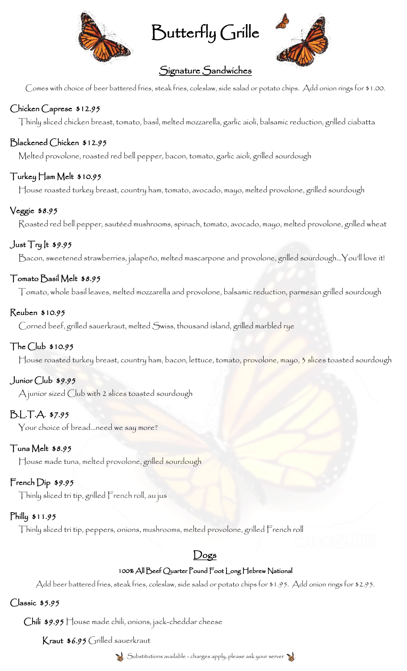

Butterfly Grille



## Signature Sandwiches

Comes with choice of beer battered fries, steak fries, coleslaw, side salad or potato chips. Add onion rings for \$1.00.

### Chicken Caprese \$12.95

Thinly sliced chicken breast, tomato, basil, melted mozzarella, garlic aioli, balsamic reduction, grilled ciabatta

#### Blackened Chicken \$12.95

Melted provolone, roasted red bell pepper, bacon, tomato, garlic aioli, grilled sourdough

#### Turkey Ham Melt \$10.95

House roasted turkey breast, country ham, tomato, avocado, mayo, melted provolone, grilled sourdough

#### Veggie \$8.95

Roasted red bell pepper, sautéed mushrooms, spinach, tomato, avocado, mayo, melted provolone, grilled wheat

### Just Try It \$9.95

Bacon, sweetened strawberries, jalapeño, melted mascarpone and provolone, grilled sourdough…You'll love it!

#### Tomato Basil Melt \$8.95

Tomato, whole basil leaves, melted mozzarella and provolone, balsamic reduction, parmesan grilled sourdough

#### Reuben \$10.95

Corned beef, grilled sauerkraut, melted Swiss, thousand island, grilled marbled rye

#### The Club \$10.95

House roasted turkey breast, country ham, bacon, lettuce, tomato, provolone, mayo, 3 slices toasted sourdough

#### Junior Club \$9.95

A junior sized Club with 2 slices toasted sourdough

### B.L.T.A. \$7.95

Your choice of bread…need we say more?

#### Tuna Melt \$8.95

House made tuna, melted provolone, grilled sourdough

### French Dip \$9.95

Thinly sliced tri tip, grilled French roll, au jus

#### Philly \$11.95

Thinly sliced tri tip, peppers, onions, mushrooms, melted provolone, grilled French roll

### Dogs

#### 100% All Beef Quarter Pound Foot Long Hebrew National

Add beer battered fries, steak fries, coleslaw, side salad or potato chips for \$1.95. Add onion rings for \$2.95.

#### Classic \$5.95

Chili \$9.95 House made chili, onions, jack-cheddar cheese

Kraut \$6.95 Grilled sauerkraut

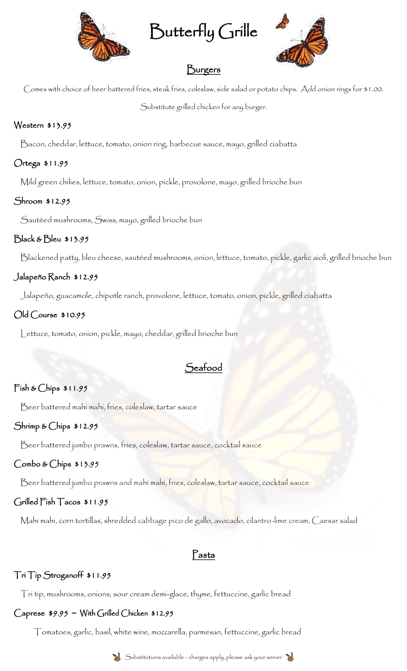

Butterfly Grille



## Burgers

Comes with choice of beer battered fries, steak fries, coleslaw, side salad or potato chips. Add onion rings for \$1.00.

Substitute grilled chicken for any burger.

### Western \$13.95

Bacon, cheddar, lettuce, tomato, onion ring, barbecue sauce, mayo, grilled ciabatta

### Ortega \$11.95

Mild green chilies, lettuce, tomato, onion, pickle, provolone, mayo, grilled brioche bun

### Shroom \$12.95

Sautéed mushrooms, Swiss, mayo, grilled brioche bun

### Black & Bleu \$13.95

Blackened patty, bleu cheese, sautéed mushrooms, onion, lettuce, tomato, pickle, garlic aioli, grilled brioche bun

### Jalapeño Ranch \$12.95

Jalapeño, guacamole, chipotle ranch, provolone, lettuce, tomato, onion, pickle, grilled ciabatta

### Old Course \$10.95

Lettuce, tomato, onion, pickle, mayo, cheddar, grilled brioche bun

# $\mathcal{\tilde{S}}$ eafood

### Fish & Chips \$11.95

Beer battered mahi mahi, fries, coleslaw, tartar sauce

### Shrimp & Chips \$12.95

Beer battered jumbo prawns, fries, coleslaw, tartar sauce, cocktail sauce

### Combo & Chips \$13.95

Beer battered jumbo prawns and mahi mahi, fries, coleslaw, tartar sauce, cocktail sauce

### Grilled Fish Tacos \$11.95

Mahi mahi, corn tortillas, shredded cabbage pico de gallo, avocado, cilantro-lime cream, Caesar salad

### Pasta

### Tri Tip Stroganoff \$11.95

Tri tip, mushrooms, onions, sour cream demi-glace, thyme, fettuccine, garlic bread

### Caprese \$9.95 ~ With Grilled Chicken \$12.95

Tomatoes, garlic, basil, white wine, mozzarella, parmesan, fettuccine, garlic bread



Substitutions available - charges apply, please ask your server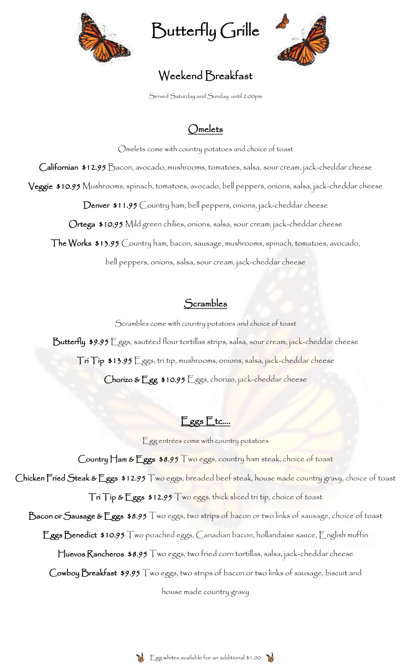

Butterfly Grille



# Weekend Breakfast

Served Saturday and Sunday until 2:00pm

# Omelets

Omelets come with country potatoes and choice of toast Californian \$12.95 Bacon, avocado, mushrooms, tomatoes, salsa, sour cream, jack-cheddar cheese Veggie \$10.95 Mushrooms, spinach, tomatoes, avocado, bell peppers, onions, salsa, jack-cheddar cheese Denver \$11.95 Country ham, bell peppers, onions, jack-cheddar cheese

Ortega \$10.95 Mild green chilies, onions, salsa, sour cream, jack-cheddar cheese

The Works \$13.95 Country ham, bacon, sausage, mushrooms, spinach, tomatoes, avocado,

bell peppers, onions, salsa, sour cream, jack-cheddar cheese

## Scrambles

Scrambles come with country potatoes and choice of toast

Butterfly \$9.95 Eggs, sautéed flour tortillas strips, salsa, sour cream, jack-cheddar cheese Tri Tip \$13.95 Eggs, tri tip, mushrooms, onions, salsa, jack-cheddar cheese

Chorizo & Egg \$10.95 Eggs, chorizo, jack-cheddar cheese

# Eggs Etc.…

Egg entrées come with country potatoes

Country Ham & Eggs \$8.95 Two eggs, country ham steak, choice of toast

Chicken Fried Steak & Eggs \$12.95 Two eggs, breaded beef steak, house made country gravy, choice of toast

Tri Tip & Eggs \$12.95 Two eggs, thick sliced tri tip, choice of toast

Bacon or Sausage & Eggs \$8.95 Two eggs, two strips of bacon or two links of sausage, choice of toast

Eggs Benedict \$10.95 Two poached eggs, Canadian bacon, hollandaise sauce, English muffin

Huevos Rancheros \$8.95 Two eggs, two fried corn tortillas, salsa, jack-cheddar cheese

Cowboy Breakfast \$9.95 Two eggs, two strips of bacon or two links of sausage, biscuit and

house made country gravy

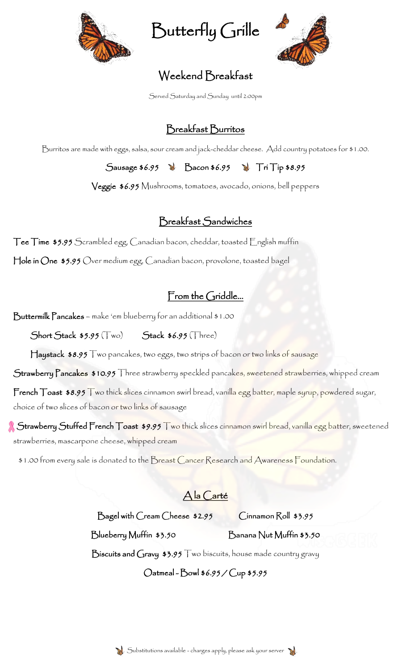

Butterfly Grille



# Weekend Breakfast

Served Saturday and Sunday until 2:00pm

# Breakfast Burritos

Burritos are made with eggs, salsa, sour cream and jack-cheddar cheese. Add country potatoes for \$1.00.

Sausage  $$6.95$   $\rightarrow$  Bacon  $$6.95$   $\rightarrow$  Tri Tip  $$8.95$ 

Veggie \$6.95 Mushrooms, tomatoes, avocado, onions, bell peppers

# Breakfast Sandwiches

**Tee Time \$5.95** Scrambled egg, Canadian bacon, cheddar, toasted English muffin

Hole in One \$5.95 Over medium egg, Canadian bacon, provolone, toasted bagel

# From the Griddle...

Buttermilk Pancakes – make 'em blueberry for an additional \$1.00

 $Short$  Stack  $$5.95$  (Two) Stack  $$6.95$  (Three)

Haystack \$8.95 Two pancakes, two eggs, two strips of bacon or two links of sausage

Strawberry Pancakes \$10.95 Three strawberry speckled pancakes, sweetened strawberries, whipped cream

French Toast \$8.95 Two thick slices cinnamon swirl bread, vanilla egg batter, maple syrup, powdered sugar, choice of two slices of bacon or two links of sausage

Strawberry Stuffed French Toast \$9.95 Two thick slices cinnamon swirl bread, vanilla egg batter, sweetened strawberries, mascarpone cheese, whipped cream

\$1.00 from every sale is donated to the Breast Cancer Research and Awareness Foundation.

A la Carté

Bagel with Cream Cheese \$2.95 Cinnamon Roll \$3.95

Blueberry Muffin \$3.50 Banana Nut Muffin \$3.50

Biscuits and Gravy \$3.95 Two biscuits, house made country gravy

Oatmeal - Bowl \$6.95 / Cup \$5.95

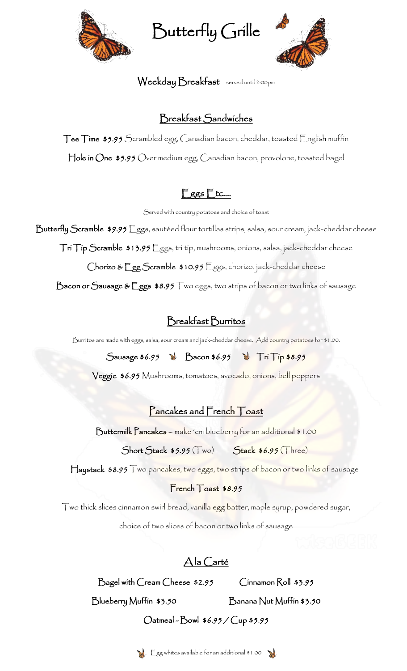

Butterfly Grille



### Weekday Breakfast – served until 2:00pm

## Breakfast Sandwiches

Tee Time \$5.95 Scrambled egg, Canadian bacon, cheddar, toasted English muffin Hole in One \$5.95 Over medium egg, Canadian bacon, provolone, toasted bagel

# Eggs Etc.…

Served with country potatoes and choice of toast

Butterfly Scramble \$9.95 Eggs, sautéed flour tortillas strips, salsa, sour cream, jack-cheddar cheese Tri Tip Scramble \$13.95 Eggs, tri tip, mushrooms, onions, salsa, jack-cheddar cheese

Chorizo & Egg Scramble \$10.95 Eggs, chorizo, jack-cheddar cheese

Bacon or Sausage & Eggs \$8.95 Two eggs, two strips of bacon or two links of sausage

# Breakfast Burritos

Burritos are made with eggs, salsa, sour cream and jack-cheddar cheese. Add country potatoes for \$1.00.

Sausage \$6.95 **Bacon \$6.95** Tri Tip \$8.95

Veggie \$6.95 Mushrooms, tomatoes, avocado, onions, bell peppers

## Pancakes and French Toast

Buttermilk Pancakes – make 'em blueberry for an additional \$1.00

 $Short$  Stack  $$5.95$   $(Two)$  Stack  $$6.95$   $(Three)$ 

Haystack \$8.95 Two pancakes, two eggs, two strips of bacon or two links of sausage

### French Toast \$8.95

Two thick slices cinnamon swirl bread, vanilla egg batter, maple syrup, powdered sugar,

choice of two slices of bacon or two links of sausage

# A la Carté

Bagel with Cream Cheese \$2.95 Cinnamon Roll \$3.95

Blueberry Muffin \$3.50 Banana Nut Muffin \$3.50

## Oatmeal - Bowl \$6.95 / Cup \$5.95